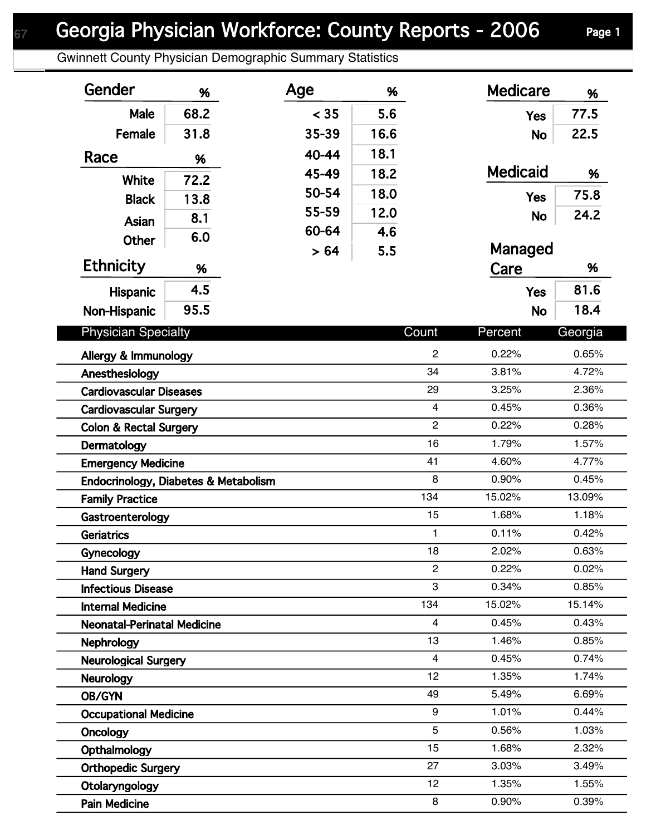## Georgia Physician Workforce: County Reports - 2006 Page 1

Gwinnett County Physician Demographic Summary Statistics

| Gender                               | %    | Age   | %    |                | <b>Medicare</b> | %       |
|--------------------------------------|------|-------|------|----------------|-----------------|---------|
| Male                                 | 68.2 | < 35  | 5.6  |                | <b>Yes</b>      | 77.5    |
| Female                               | 31.8 | 35-39 | 16.6 |                | <b>No</b>       | 22.5    |
| Race                                 | %    | 40-44 | 18.1 |                |                 |         |
|                                      |      | 45-49 | 18.2 |                | <b>Medicaid</b> | %       |
| <b>White</b>                         | 72.2 | 50-54 | 18.0 |                | <b>Yes</b>      | 75.8    |
| <b>Black</b>                         | 13.8 | 55-59 | 12.0 |                |                 | 24.2    |
| <b>Asian</b>                         | 8.1  | 60-64 | 4.6  |                | <b>No</b>       |         |
| <b>Other</b>                         | 6.0  | > 64  | 5.5  |                | Managed         |         |
| <b>Ethnicity</b>                     | %    |       |      |                | Care            | %       |
| Hispanic                             | 4.5  |       |      |                | <b>Yes</b>      | 81.6    |
| Non-Hispanic                         | 95.5 |       |      |                | <b>No</b>       | 18.4    |
|                                      |      |       |      |                |                 |         |
| <b>Physician Specialty</b>           |      |       |      | Count          | Percent         | Georgia |
| Allergy & Immunology                 |      |       |      | $\overline{2}$ | 0.22%           | 0.65%   |
| Anesthesiology                       |      |       |      | 34             | 3.81%           | 4.72%   |
| <b>Cardiovascular Diseases</b>       |      |       |      | 29             | 3.25%           | 2.36%   |
| <b>Cardiovascular Surgery</b>        |      |       |      | $\overline{4}$ | 0.45%           | 0.36%   |
| <b>Colon &amp; Rectal Surgery</b>    |      |       |      | $\overline{c}$ | 0.22%           | 0.28%   |
| Dermatology                          |      |       |      | 16             | 1.79%           | 1.57%   |
| <b>Emergency Medicine</b>            |      |       |      | 41             | 4.60%           | 4.77%   |
| Endocrinology, Diabetes & Metabolism |      |       |      | 8              | 0.90%           | 0.45%   |
| <b>Family Practice</b>               |      |       |      | 134            | 15.02%          | 13.09%  |
| Gastroenterology                     |      |       |      | 15             | 1.68%           | 1.18%   |
| <b>Geriatrics</b>                    |      |       |      | $\mathbf{1}$   | 0.11%           | 0.42%   |
| Gynecology                           |      |       |      | 18             | 2.02%           | 0.63%   |
| <b>Hand Surgery</b>                  |      |       |      | $\overline{2}$ | 0.22%           | 0.02%   |
| <b>Infectious Disease</b>            |      |       |      | 3              | 0.34%           | 0.85%   |
| <b>Internal Medicine</b>             |      |       |      | 134            | 15.02%          | 15.14%  |
| <b>Neonatal-Perinatal Medicine</b>   |      |       |      | $\overline{4}$ | 0.45%           | 0.43%   |
| <b>Nephrology</b>                    |      |       |      | 13             | 1.46%           | 0.85%   |
| <b>Neurological Surgery</b>          |      |       |      | $\overline{4}$ | 0.45%           | 0.74%   |
| <b>Neurology</b>                     |      |       |      | 12             | 1.35%           | 1.74%   |
| OB/GYN                               |      |       |      | 49             | 5.49%           | 6.69%   |
| <b>Occupational Medicine</b>         |      |       |      | 9              | 1.01%           | 0.44%   |
| Oncology                             |      |       |      | 5              | 0.56%           | 1.03%   |
| Opthalmology                         |      |       |      | 15             | 1.68%           | 2.32%   |
| <b>Orthopedic Surgery</b>            |      |       |      | 27             | 3.03%           | 3.49%   |
| Otolaryngology                       |      |       |      | 12             | 1.35%           | 1.55%   |
| <b>Pain Medicine</b>                 |      |       |      | 8              | 0.90%           | 0.39%   |